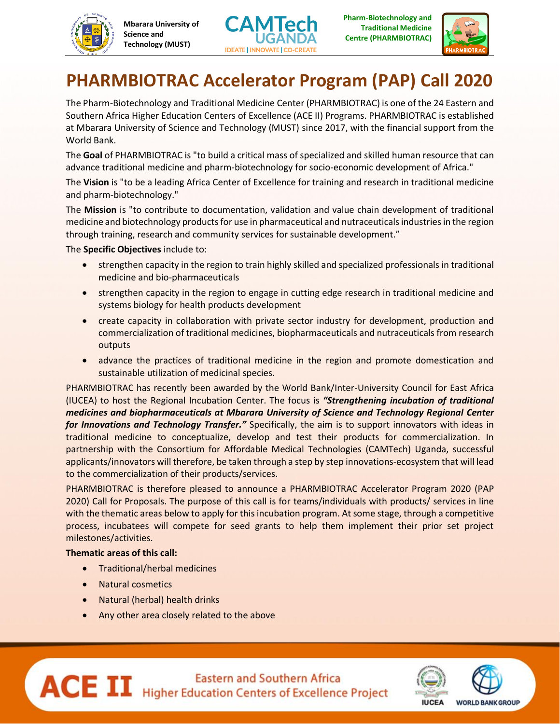





## **PHARMBIOTRAC Accelerator Program (PAP) Call 2020**

The Pharm-Biotechnology and Traditional Medicine Center (PHARMBIOTRAC) is one of the 24 Eastern and Southern Africa Higher Education Centers of Excellence (ACE II) Programs. PHARMBIOTRAC is established at Mbarara University of Science and Technology (MUST) since 2017, with the financial support from the World Bank.

The **Goal** of PHARMBIOTRAC is "to build a critical mass of specialized and skilled human resource that can advance traditional medicine and pharm-biotechnology for socio-economic development of Africa."

The **Vision** is "to be a leading Africa Center of Excellence for training and research in traditional medicine and pharm-biotechnology."

The **Mission** is "to contribute to documentation, validation and value chain development of traditional medicine and biotechnology products for use in pharmaceutical and nutraceuticals industries in the region through training, research and community services for sustainable development."

The **Specific Objectives** include to:

- strengthen capacity in the region to train highly skilled and specialized professionals in traditional medicine and bio-pharmaceuticals
- **•** strengthen capacity in the region to engage in cutting edge research in traditional medicine and systems biology for health products development
- create capacity in collaboration with private sector industry for development, production and commercialization of traditional medicines, biopharmaceuticals and nutraceuticals from research outputs
- advance the practices of traditional medicine in the region and promote domestication and sustainable utilization of medicinal species.

PHARMBIOTRAC has recently been awarded by the World Bank/Inter-University Council for East Africa (IUCEA) to host the Regional Incubation Center. The focus is *"Strengthening incubation of traditional medicines and biopharmaceuticals at Mbarara University of Science and Technology Regional Center for Innovations and Technology Transfer."* Specifically, the aim is to support innovators with ideas in traditional medicine to conceptualize, develop and test their products for commercialization. In partnership with the Consortium for Affordable Medical Technologies (CAMTech) Uganda, successful applicants/innovators will therefore, be taken through a step by step innovations-ecosystem that will lead to the commercialization of their products/services.

PHARMBIOTRAC is therefore pleased to announce a PHARMBIOTRAC Accelerator Program 2020 (PAP 2020) Call for Proposals. The purpose of this call is for teams/individuals with products/ services in line with the thematic areas below to apply for this incubation program. At some stage, through a competitive process, incubatees will compete for seed grants to help them implement their prior set project milestones/activities.

## **Thematic areas of this call:**

- Traditional/herbal medicines
- Natural cosmetics
- Natural (herbal) health drinks
- Any other area closely related to the above

**ACE II** Higher Education Centers of Excellence Project